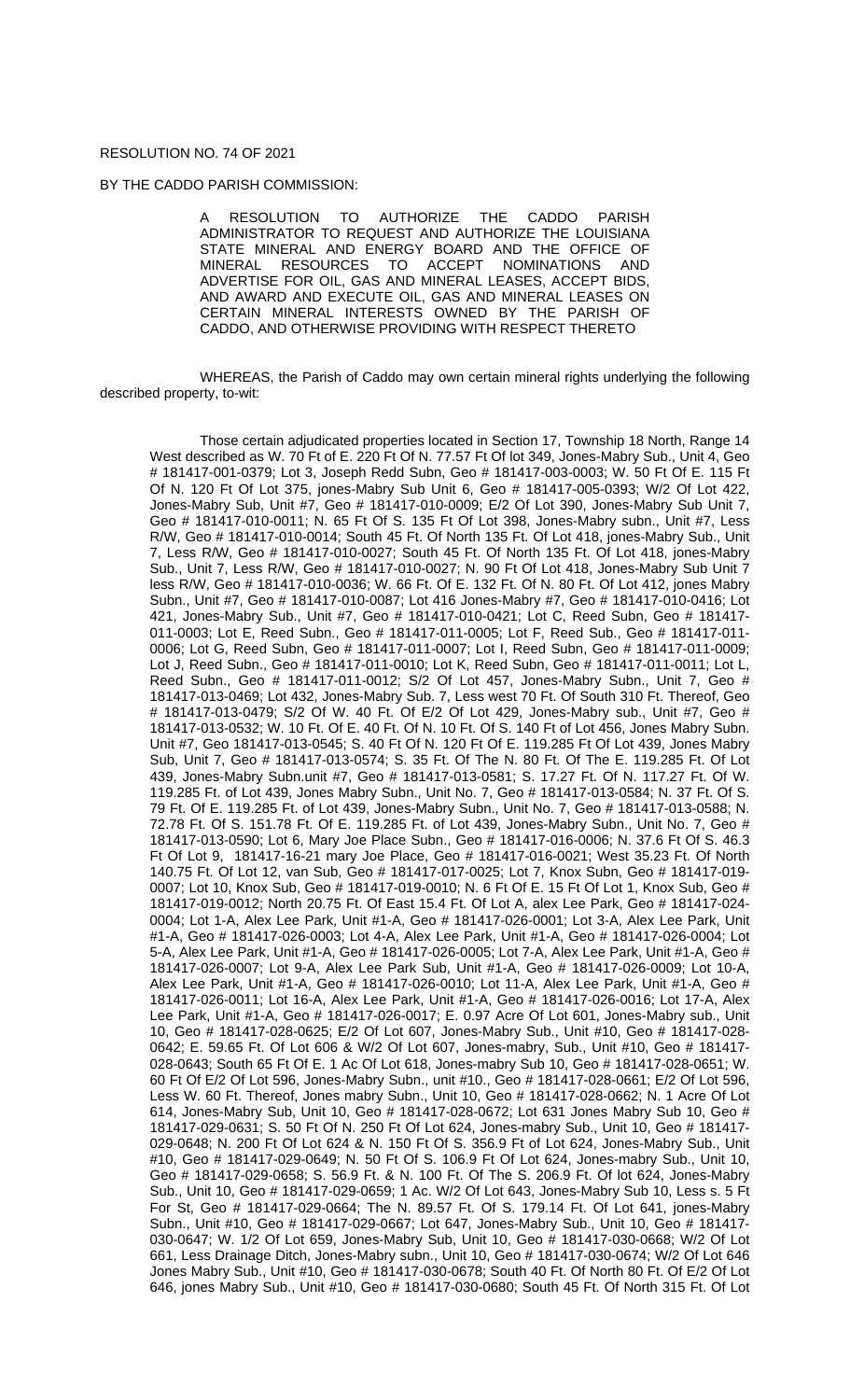## RESOLUTION NO. 74 OF 2021

## BY THE CADDO PARISH COMMISSION:

A RESOLUTION TO AUTHORIZE THE CADDO PARISH ADMINISTRATOR TO REQUEST AND AUTHORIZE THE LOUISIANA STATE MINERAL AND ENERGY BOARD AND THE OFFICE OF MINERAL RESOURCES TO ACCEPT NOMINATIONS AND RESOURCES TO ADVERTISE FOR OIL, GAS AND MINERAL LEASES, ACCEPT BIDS, AND AWARD AND EXECUTE OIL, GAS AND MINERAL LEASES ON CERTAIN MINERAL INTERESTS OWNED BY THE PARISH OF CADDO, AND OTHERWISE PROVIDING WITH RESPECT THERETO

WHEREAS, the Parish of Caddo may own certain mineral rights underlying the following described property, to-wit:

Those certain adjudicated properties located in Section 17, Township 18 North, Range 14 West described as W. 70 Ft of E. 220 Ft Of N. 77.57 Ft Of lot 349, Jones-Mabry Sub., Unit 4, Geo # 181417-001-0379; Lot 3, Joseph Redd Subn, Geo # 181417-003-0003; W. 50 Ft Of E. 115 Ft Of N. 120 Ft Of Lot 375, jones-Mabry Sub Unit 6, Geo # 181417-005-0393; W/2 Of Lot 422, Jones-Mabry Sub, Unit #7, Geo # 181417-010-0009; E/2 Of Lot 390, Jones-Mabry Sub Unit 7, Geo # 181417-010-0011; N. 65 Ft Of S. 135 Ft Of Lot 398, Jones-Mabry subn., Unit #7, Less R/W, Geo # 181417-010-0014; South 45 Ft. Of North 135 Ft. Of Lot 418, jones-Mabry Sub., Unit 7, Less R/W, Geo # 181417-010-0027; South 45 Ft. Of North 135 Ft. Of Lot 418, jones-Mabry Sub., Unit 7, Less R/W, Geo # 181417-010-0027; N. 90 Ft Of Lot 418, Jones-Mabry Sub Unit 7 less R/W, Geo # 181417-010-0036; W. 66 Ft. Of E. 132 Ft. Of N. 80 Ft. Of Lot 412, jones Mabry Subn., Unit #7, Geo # 181417-010-0087; Lot 416 Jones-Mabry #7, Geo # 181417-010-0416; Lot 421, Jones-Mabry Sub., Unit #7, Geo # 181417-010-0421; Lot C, Reed Subn, Geo # 181417- 011-0003; Lot E, Reed Subn., Geo # 181417-011-0005; Lot F, Reed Sub., Geo # 181417-011- 0006; Lot G, Reed Subn, Geo # 181417-011-0007; Lot I, Reed Subn, Geo # 181417-011-0009; Lot J, Reed Subn., Geo # 181417-011-0010; Lot K, Reed Subn, Geo # 181417-011-0011; Lot L, Reed Subn., Geo # 181417-011-0012; S/2 Of Lot 457, Jones-Mabry Subn., Unit 7, Geo # 181417-013-0469; Lot 432, Jones-Mabry Sub. 7, Less west 70 Ft. Of South 310 Ft. Thereof, Geo # 181417-013-0479; S/2 Of W. 40 Ft. Of E/2 Of Lot 429, Jones-Mabry sub., Unit #7, Geo # 181417-013-0532; W. 10 Ft. Of E. 40 Ft. Of N. 10 Ft. Of S. 140 Ft of Lot 456, Jones Mabry Subn. Unit #7, Geo 181417-013-0545; S. 40 Ft Of N. 120 Ft Of E. 119.285 Ft Of Lot 439, Jones Mabry Sub, Unit 7, Geo # 181417-013-0574; S. 35 Ft. Of The N. 80 Ft. Of The E. 119.285 Ft. Of Lot 439, Jones-Mabry Subn.unit #7, Geo # 181417-013-0581; S. 17.27 Ft. Of N. 117.27 Ft. Of W. 119.285 Ft. of Lot 439, Jones Mabry Subn., Unit No. 7, Geo # 181417-013-0584; N. 37 Ft. Of S. 79 Ft. Of E. 119.285 Ft. of Lot 439, Jones-Mabry Subn., Unit No. 7, Geo # 181417-013-0588; N. 72.78 Ft. Of S. 151.78 Ft. Of E. 119.285 Ft. of Lot 439, Jones-Mabry Subn., Unit No. 7, Geo # 181417-013-0590; Lot 6, Mary Joe Place Subn., Geo # 181417-016-0006; N. 37.6 Ft Of S. 46.3 Ft Of Lot 9, 181417-16-21 mary Joe Place, Geo # 181417-016-0021; West 35.23 Ft. Of North 140.75 Ft. Of Lot 12, van Sub, Geo # 181417-017-0025; Lot 7, Knox Subn, Geo # 181417-019- 0007; Lot 10, Knox Sub, Geo # 181417-019-0010; N. 6 Ft Of E. 15 Ft Of Lot 1, Knox Sub, Geo # 181417-019-0012; North 20.75 Ft. Of East 15.4 Ft. Of Lot A, alex Lee Park, Geo # 181417-024- 0004; Lot 1-A, Alex Lee Park, Unit #1-A, Geo # 181417-026-0001; Lot 3-A, Alex Lee Park, Unit #1-A, Geo # 181417-026-0003; Lot 4-A, Alex Lee Park, Unit #1-A, Geo # 181417-026-0004; Lot 5-A, Alex Lee Park, Unit #1-A, Geo # 181417-026-0005; Lot 7-A, Alex Lee Park, Unit #1-A, Geo # 181417-026-0007; Lot 9-A, Alex Lee Park Sub, Unit #1-A, Geo # 181417-026-0009; Lot 10-A, Alex Lee Park, Unit #1-A, Geo # 181417-026-0010; Lot 11-A, Alex Lee Park, Unit #1-A, Geo # 181417-026-0011; Lot 16-A, Alex Lee Park, Unit #1-A, Geo # 181417-026-0016; Lot 17-A, Alex Lee Park, Unit #1-A, Geo # 181417-026-0017; E. 0.97 Acre Of Lot 601, Jones-Mabry sub., Unit 10, Geo # 181417-028-0625; E/2 Of Lot 607, Jones-Mabry Sub., Unit #10, Geo # 181417-028- 0642; E. 59.65 Ft. Of Lot 606 & W/2 Of Lot 607, Jones-mabry, Sub., Unit #10, Geo # 181417- 028-0643; South 65 Ft Of E. 1 Ac Of Lot 618, Jones-mabry Sub 10, Geo # 181417-028-0651; W. 60 Ft Of E/2 Of Lot 596, Jones-Mabry Subn., unit #10., Geo # 181417-028-0661; E/2 Of Lot 596, Less W. 60 Ft. Thereof, Jones mabry Subn., Unit 10, Geo # 181417-028-0662; N. 1 Acre Of Lot 614, Jones-Mabry Sub, Unit 10, Geo # 181417-028-0672; Lot 631 Jones Mabry Sub 10, Geo # 181417-029-0631; S. 50 Ft Of N. 250 Ft Of Lot 624, Jones-mabry Sub., Unit 10, Geo # 181417- 029-0648; N. 200 Ft Of Lot 624 & N. 150 Ft Of S. 356.9 Ft of Lot 624, Jones-Mabry Sub., Unit #10, Geo # 181417-029-0649; N. 50 Ft Of S. 106.9 Ft Of Lot 624, Jones-mabry Sub., Unit 10, Geo # 181417-029-0658; S. 56.9 Ft. & N. 100 Ft. Of The S. 206.9 Ft. Of lot 624, Jones-Mabry Sub., Unit 10, Geo # 181417-029-0659; 1 Ac. W/2 Of Lot 643, Jones-Mabry Sub 10, Less s. 5 Ft For St, Geo # 181417-029-0664; The N. 89.57 Ft. Of S. 179.14 Ft. Of Lot 641, jones-Mabry Subn., Unit #10, Geo # 181417-029-0667; Lot 647, Jones-Mabry Sub., Unit 10, Geo # 181417- 030-0647; W. 1/2 Of Lot 659, Jones-Mabry Sub, Unit 10, Geo # 181417-030-0668; W/2 Of Lot 661, Less Drainage Ditch, Jones-Mabry subn., Unit 10, Geo # 181417-030-0674; W/2 Of Lot 646 Jones Mabry Sub., Unit #10, Geo # 181417-030-0678; South 40 Ft. Of North 80 Ft. Of E/2 Of Lot 646, jones Mabry Sub., Unit #10, Geo # 181417-030-0680; South 45 Ft. Of North 315 Ft. Of Lot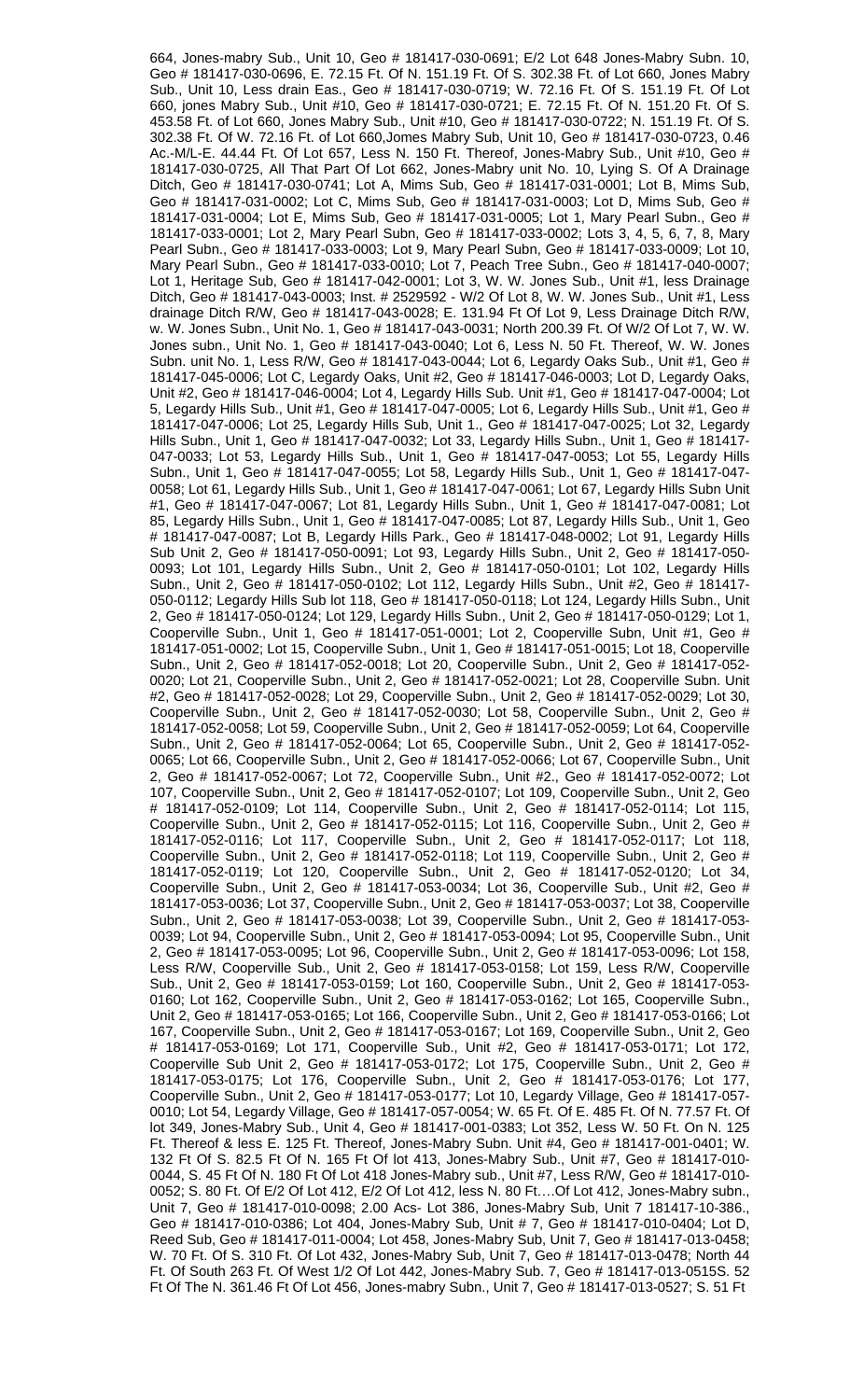664, Jones-mabry Sub., Unit 10, Geo # 181417-030-0691; E/2 Lot 648 Jones-Mabry Subn. 10, Geo # 181417-030-0696, E. 72.15 Ft. Of N. 151.19 Ft. Of S. 302.38 Ft. of Lot 660, Jones Mabry Sub., Unit 10, Less drain Eas., Geo # 181417-030-0719; W. 72.16 Ft. Of S. 151.19 Ft. Of Lot 660, jones Mabry Sub., Unit #10, Geo # 181417-030-0721; E. 72.15 Ft. Of N. 151.20 Ft. Of S. 453.58 Ft. of Lot 660, Jones Mabry Sub., Unit #10, Geo # 181417-030-0722; N. 151.19 Ft. Of S. 302.38 Ft. Of W. 72.16 Ft. of Lot 660,Jomes Mabry Sub, Unit 10, Geo # 181417-030-0723, 0.46 Ac.-M/L-E. 44.44 Ft. Of Lot 657, Less N. 150 Ft. Thereof, Jones-Mabry Sub., Unit #10, Geo # 181417-030-0725, All That Part Of Lot 662, Jones-Mabry unit No. 10, Lying S. Of A Drainage Ditch, Geo # 181417-030-0741; Lot A, Mims Sub, Geo # 181417-031-0001; Lot B, Mims Sub, Geo # 181417-031-0002; Lot C, Mims Sub, Geo # 181417-031-0003; Lot D, Mims Sub, Geo # 181417-031-0004; Lot E, Mims Sub, Geo # 181417-031-0005; Lot 1, Mary Pearl Subn., Geo # 181417-033-0001; Lot 2, Mary Pearl Subn, Geo # 181417-033-0002; Lots 3, 4, 5, 6, 7, 8, Mary Pearl Subn., Geo # 181417-033-0003; Lot 9, Mary Pearl Subn, Geo # 181417-033-0009; Lot 10, Mary Pearl Subn., Geo # 181417-033-0010; Lot 7, Peach Tree Subn., Geo # 181417-040-0007; Lot 1, Heritage Sub, Geo # 181417-042-0001; Lot 3, W. W. Jones Sub., Unit #1, less Drainage Ditch, Geo # 181417-043-0003; Inst. # 2529592 - W/2 Of Lot 8, W. W. Jones Sub., Unit #1, Less drainage Ditch R/W, Geo # 181417-043-0028; E. 131.94 Ft Of Lot 9, Less Drainage Ditch R/W, w. W. Jones Subn., Unit No. 1, Geo # 181417-043-0031; North 200.39 Ft. Of W/2 Of Lot 7, W. W. Jones subn., Unit No. 1, Geo # 181417-043-0040; Lot 6, Less N. 50 Ft. Thereof, W. W. Jones Subn. unit No. 1, Less R/W, Geo # 181417-043-0044; Lot 6, Legardy Oaks Sub., Unit #1, Geo # 181417-045-0006; Lot C, Legardy Oaks, Unit #2, Geo # 181417-046-0003; Lot D, Legardy Oaks, Unit #2, Geo # 181417-046-0004; Lot 4, Legardy Hills Sub. Unit #1, Geo # 181417-047-0004; Lot 5, Legardy Hills Sub., Unit #1, Geo # 181417-047-0005; Lot 6, Legardy Hills Sub., Unit #1, Geo # 181417-047-0006; Lot 25, Legardy Hills Sub, Unit 1., Geo # 181417-047-0025; Lot 32, Legardy Hills Subn., Unit 1, Geo # 181417-047-0032; Lot 33, Legardy Hills Subn., Unit 1, Geo # 181417- 047-0033; Lot 53, Legardy Hills Sub., Unit 1, Geo # 181417-047-0053; Lot 55, Legardy Hills Subn., Unit 1, Geo # 181417-047-0055; Lot 58, Legardy Hills Sub., Unit 1, Geo # 181417-047- 0058; Lot 61, Legardy Hills Sub., Unit 1, Geo # 181417-047-0061; Lot 67, Legardy Hills Subn Unit #1, Geo # 181417-047-0067; Lot 81, Legardy Hills Subn., Unit 1, Geo # 181417-047-0081; Lot 85, Legardy Hills Subn., Unit 1, Geo # 181417-047-0085; Lot 87, Legardy Hills Sub., Unit 1, Geo # 181417-047-0087; Lot B, Legardy Hills Park., Geo # 181417-048-0002; Lot 91, Legardy Hills Sub Unit 2, Geo # 181417-050-0091; Lot 93, Legardy Hills Subn., Unit 2, Geo # 181417-050- 0093; Lot 101, Legardy Hills Subn., Unit 2, Geo # 181417-050-0101; Lot 102, Legardy Hills Subn., Unit 2, Geo # 181417-050-0102; Lot 112, Legardy Hills Subn., Unit #2, Geo # 181417- 050-0112; Legardy Hills Sub lot 118, Geo # 181417-050-0118; Lot 124, Legardy Hills Subn., Unit 2, Geo # 181417-050-0124; Lot 129, Legardy Hills Subn., Unit 2, Geo # 181417-050-0129; Lot 1, Cooperville Subn., Unit 1, Geo # 181417-051-0001; Lot 2, Cooperville Subn, Unit #1, Geo # 181417-051-0002; Lot 15, Cooperville Subn., Unit 1, Geo # 181417-051-0015; Lot 18, Cooperville Subn., Unit 2, Geo # 181417-052-0018; Lot 20, Cooperville Subn., Unit 2, Geo # 181417-052- 0020; Lot 21, Cooperville Subn., Unit 2, Geo # 181417-052-0021; Lot 28, Cooperville Subn. Unit #2, Geo # 181417-052-0028; Lot 29, Cooperville Subn., Unit 2, Geo # 181417-052-0029; Lot 30, Cooperville Subn., Unit 2, Geo # 181417-052-0030; Lot 58, Cooperville Subn., Unit 2, Geo # 181417-052-0058; Lot 59, Cooperville Subn., Unit 2, Geo # 181417-052-0059; Lot 64, Cooperville Subn., Unit 2, Geo # 181417-052-0064; Lot 65, Cooperville Subn., Unit 2, Geo # 181417-052- 0065; Lot 66, Cooperville Subn., Unit 2, Geo # 181417-052-0066; Lot 67, Cooperville Subn., Unit 2, Geo # 181417-052-0067; Lot 72, Cooperville Subn., Unit #2., Geo # 181417-052-0072; Lot 107, Cooperville Subn., Unit 2, Geo # 181417-052-0107; Lot 109, Cooperville Subn., Unit 2, Geo # 181417-052-0109; Lot 114, Cooperville Subn., Unit 2, Geo # 181417-052-0114; Lot 115, Cooperville Subn., Unit 2, Geo # 181417-052-0115; Lot 116, Cooperville Subn., Unit 2, Geo # 181417-052-0116; Lot 117, Cooperville Subn., Unit 2, Geo # 181417-052-0117; Lot 118, Cooperville Subn., Unit 2, Geo # 181417-052-0118; Lot 119, Cooperville Subn., Unit 2, Geo # 181417-052-0119; Lot 120, Cooperville Subn., Unit 2, Geo # 181417-052-0120; Lot 34, Cooperville Subn., Unit 2, Geo # 181417-053-0034; Lot 36, Cooperville Sub., Unit #2, Geo # 181417-053-0036; Lot 37, Cooperville Subn., Unit 2, Geo # 181417-053-0037; Lot 38, Cooperville Subn., Unit 2, Geo # 181417-053-0038; Lot 39, Cooperville Subn., Unit 2, Geo # 181417-053- 0039; Lot 94, Cooperville Subn., Unit 2, Geo # 181417-053-0094; Lot 95, Cooperville Subn., Unit 2, Geo # 181417-053-0095; Lot 96, Cooperville Subn., Unit 2, Geo # 181417-053-0096; Lot 158, Less R/W, Cooperville Sub., Unit 2, Geo # 181417-053-0158; Lot 159, Less R/W, Cooperville Sub., Unit 2, Geo # 181417-053-0159; Lot 160, Cooperville Subn., Unit 2, Geo # 181417-053- 0160; Lot 162, Cooperville Subn., Unit 2, Geo # 181417-053-0162; Lot 165, Cooperville Subn., Unit 2, Geo # 181417-053-0165; Lot 166, Cooperville Subn., Unit 2, Geo # 181417-053-0166; Lot 167, Cooperville Subn., Unit 2, Geo # 181417-053-0167; Lot 169, Cooperville Subn., Unit 2, Geo # 181417-053-0169; Lot 171, Cooperville Sub., Unit #2, Geo # 181417-053-0171; Lot 172, Cooperville Sub Unit 2, Geo # 181417-053-0172; Lot 175, Cooperville Subn., Unit 2, Geo # 181417-053-0175; Lot 176, Cooperville Subn., Unit 2, Geo # 181417-053-0176; Lot 177, Cooperville Subn., Unit 2, Geo # 181417-053-0177; Lot 10, Legardy Village, Geo # 181417-057- 0010; Lot 54, Legardy Village, Geo # 181417-057-0054; W. 65 Ft. Of E. 485 Ft. Of N. 77.57 Ft. Of lot 349, Jones-Mabry Sub., Unit 4, Geo # 181417-001-0383; Lot 352, Less W. 50 Ft. On N. 125 Ft. Thereof & less E. 125 Ft. Thereof, Jones-Mabry Subn. Unit #4, Geo # 181417-001-0401; W. 132 Ft Of S. 82.5 Ft Of N. 165 Ft Of lot 413, Jones-Mabry Sub., Unit #7, Geo # 181417-010- 0044, S. 45 Ft Of N. 180 Ft Of Lot 418 Jones-Mabry sub., Unit #7, Less R/W, Geo # 181417-010- 0052; S. 80 Ft. Of E/2 Of Lot 412, E/2 Of Lot 412, less N. 80 Ft….Of Lot 412, Jones-Mabry subn., Unit 7, Geo # 181417-010-0098; 2.00 Acs- Lot 386, Jones-Mabry Sub, Unit 7 181417-10-386., Geo # 181417-010-0386; Lot 404, Jones-Mabry Sub, Unit # 7, Geo # 181417-010-0404; Lot D, Reed Sub, Geo # 181417-011-0004; Lot 458, Jones-Mabry Sub, Unit 7, Geo # 181417-013-0458; W. 70 Ft. Of S. 310 Ft. Of Lot 432, Jones-Mabry Sub, Unit 7, Geo # 181417-013-0478; North 44 Ft. Of South 263 Ft. Of West 1/2 Of Lot 442, Jones-Mabry Sub. 7, Geo # 181417-013-0515S. 52 Ft Of The N. 361.46 Ft Of Lot 456, Jones-mabry Subn., Unit 7, Geo # 181417-013-0527; S. 51 Ft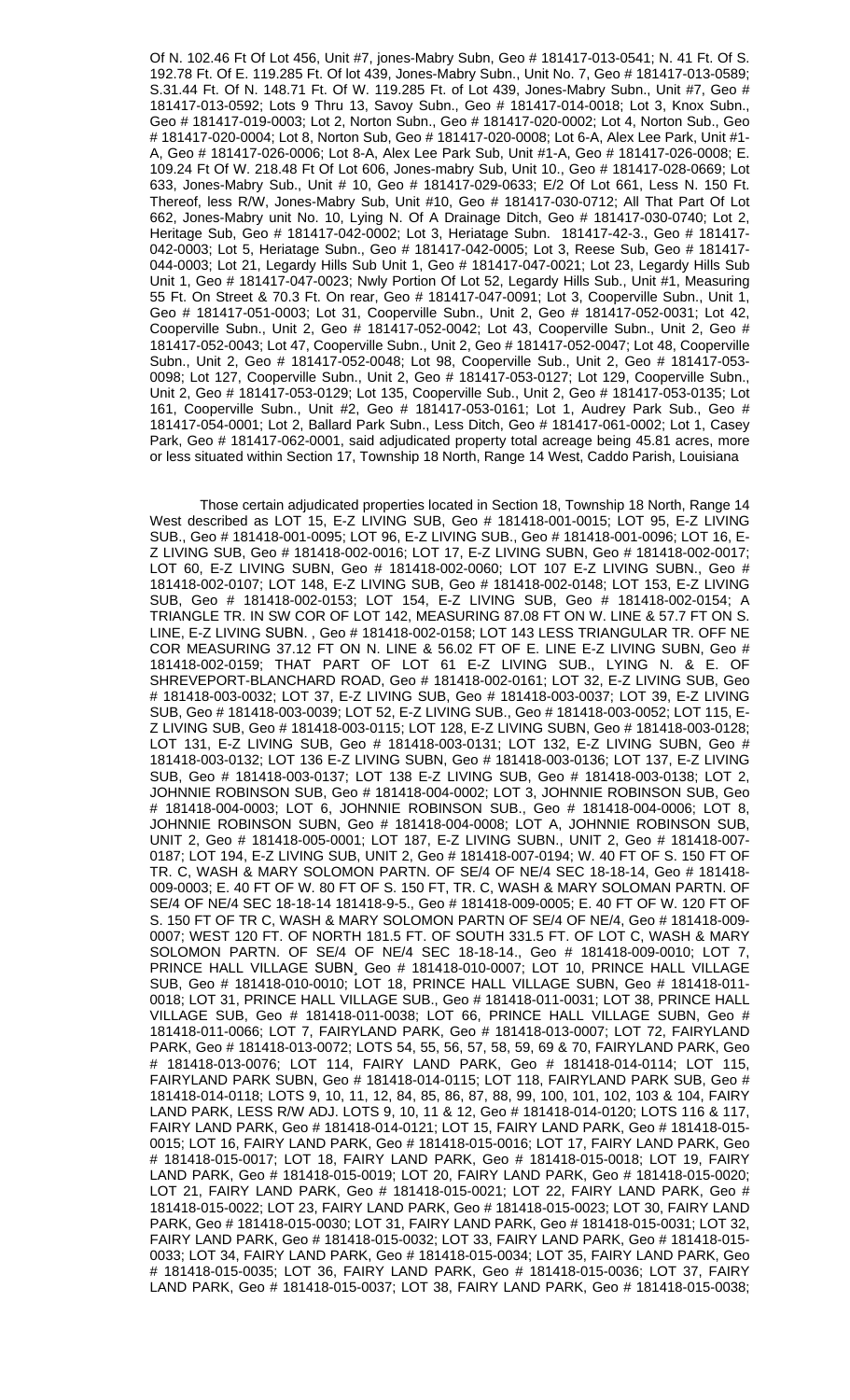Of N. 102.46 Ft Of Lot 456, Unit #7, jones-Mabry Subn, Geo # 181417-013-0541; N. 41 Ft. Of S. 192.78 Ft. Of E. 119.285 Ft. Of lot 439, Jones-Mabry Subn., Unit No. 7, Geo # 181417-013-0589; S.31.44 Ft. Of N. 148.71 Ft. Of W. 119.285 Ft. of Lot 439, Jones-Mabry Subn., Unit #7, Geo # 181417-013-0592; Lots 9 Thru 13, Savoy Subn., Geo # 181417-014-0018; Lot 3, Knox Subn., Geo # 181417-019-0003; Lot 2, Norton Subn., Geo # 181417-020-0002; Lot 4, Norton Sub., Geo # 181417-020-0004; Lot 8, Norton Sub, Geo # 181417-020-0008; Lot 6-A, Alex Lee Park, Unit #1- A, Geo # 181417-026-0006; Lot 8-A, Alex Lee Park Sub, Unit #1-A, Geo # 181417-026-0008; E. 109.24 Ft Of W. 218.48 Ft Of Lot 606, Jones-mabry Sub, Unit 10., Geo # 181417-028-0669; Lot 633, Jones-Mabry Sub., Unit # 10, Geo # 181417-029-0633; E/2 Of Lot 661, Less N. 150 Ft. Thereof, less R/W, Jones-Mabry Sub, Unit #10, Geo # 181417-030-0712; All That Part Of Lot 662, Jones-Mabry unit No. 10, Lying N. Of A Drainage Ditch, Geo # 181417-030-0740; Lot 2, Heritage Sub, Geo # 181417-042-0002; Lot 3, Heriatage Subn. 181417-42-3., Geo # 181417- 042-0003; Lot 5, Heriatage Subn., Geo # 181417-042-0005; Lot 3, Reese Sub, Geo # 181417- 044-0003; Lot 21, Legardy Hills Sub Unit 1, Geo # 181417-047-0021; Lot 23, Legardy Hills Sub Unit 1, Geo # 181417-047-0023; Nwly Portion Of Lot 52, Legardy Hills Sub., Unit #1, Measuring 55 Ft. On Street & 70.3 Ft. On rear, Geo # 181417-047-0091; Lot 3, Cooperville Subn., Unit 1, Geo # 181417-051-0003; Lot 31, Cooperville Subn., Unit 2, Geo # 181417-052-0031; Lot 42, Cooperville Subn., Unit 2, Geo # 181417-052-0042; Lot 43, Cooperville Subn., Unit 2, Geo # 181417-052-0043; Lot 47, Cooperville Subn., Unit 2, Geo # 181417-052-0047; Lot 48, Cooperville Subn., Unit 2, Geo # 181417-052-0048; Lot 98, Cooperville Sub., Unit 2, Geo # 181417-053- 0098; Lot 127, Cooperville Subn., Unit 2, Geo # 181417-053-0127; Lot 129, Cooperville Subn., Unit 2, Geo # 181417-053-0129; Lot 135, Cooperville Sub., Unit 2, Geo # 181417-053-0135; Lot 161, Cooperville Subn., Unit #2, Geo # 181417-053-0161; Lot 1, Audrey Park Sub., Geo # 181417-054-0001; Lot 2, Ballard Park Subn., Less Ditch, Geo # 181417-061-0002; Lot 1, Casey Park, Geo # 181417-062-0001, said adjudicated property total acreage being 45.81 acres, more or less situated within Section 17, Township 18 North, Range 14 West, Caddo Parish, Louisiana

Those certain adjudicated properties located in Section 18, Township 18 North, Range 14 West described as LOT 15, E-Z LIVING SUB, Geo # 181418-001-0015; LOT 95, E-Z LIVING SUB., Geo # 181418-001-0095; LOT 96, E-Z LIVING SUB., Geo # 181418-001-0096; LOT 16, E-Z LIVING SUB, Geo # 181418-002-0016; LOT 17, E-Z LIVING SUBN, Geo # 181418-002-0017; LOT 60, E-Z LIVING SUBN, Geo # 181418-002-0060; LOT 107 E-Z LIVING SUBN., Geo # 181418-002-0107; LOT 148, E-Z LIVING SUB, Geo # 181418-002-0148; LOT 153, E-Z LIVING SUB, Geo # 181418-002-0153; LOT 154, E-Z LIVING SUB, Geo # 181418-002-0154; A TRIANGLE TR. IN SW COR OF LOT 142, MEASURING 87.08 FT ON W. LINE & 57.7 FT ON S. LINE, E-Z LIVING SUBN. , Geo # 181418-002-0158; LOT 143 LESS TRIANGULAR TR. OFF NE COR MEASURING 37.12 FT ON N. LINE & 56.02 FT OF E. LINE E-Z LIVING SUBN, Geo # 181418-002-0159; THAT PART OF LOT 61 E-Z LIVING SUB., LYING N. & E. OF SHREVEPORT-BLANCHARD ROAD, Geo # 181418-002-0161; LOT 32, E-Z LIVING SUB, Geo # 181418-003-0032; LOT 37, E-Z LIVING SUB, Geo # 181418-003-0037; LOT 39, E-Z LIVING SUB, Geo # 181418-003-0039; LOT 52, E-Z LIVING SUB., Geo # 181418-003-0052; LOT 115, E-Z LIVING SUB, Geo # 181418-003-0115; LOT 128, E-Z LIVING SUBN, Geo # 181418-003-0128; LOT 131, E-Z LIVING SUB, Geo # 181418-003-0131; LOT 132, E-Z LIVING SUBN, Geo # 181418-003-0132; LOT 136 E-Z LIVING SUBN, Geo # 181418-003-0136; LOT 137, E-Z LIVING SUB, Geo # 181418-003-0137; LOT 138 E-Z LIVING SUB, Geo # 181418-003-0138; LOT 2, JOHNNIE ROBINSON SUB, Geo # 181418-004-0002; LOT 3, JOHNNIE ROBINSON SUB, Geo # 181418-004-0003; LOT 6, JOHNNIE ROBINSON SUB., Geo # 181418-004-0006; LOT 8, JOHNNIE ROBINSON SUBN, Geo # 181418-004-0008; LOT A, JOHNNIE ROBINSON SUB, UNIT 2, Geo # 181418-005-0001; LOT 187, E-Z LIVING SUBN., UNIT 2, Geo # 181418-007- 0187; LOT 194, E-Z LIVING SUB, UNIT 2, Geo # 181418-007-0194; W. 40 FT OF S. 150 FT OF TR. C, WASH & MARY SOLOMON PARTN. OF SE/4 OF NE/4 SEC 18-18-14, Geo # 181418- 009-0003; E. 40 FT OF W. 80 FT OF S. 150 FT, TR. C, WASH & MARY SOLOMAN PARTN. OF SE/4 OF NE/4 SEC 18-18-14 181418-9-5., Geo # 181418-009-0005; E. 40 FT OF W. 120 FT OF S. 150 FT OF TR C, WASH & MARY SOLOMON PARTN OF SE/4 OF NE/4, Geo # 181418-009- 0007; WEST 120 FT. OF NORTH 181.5 FT. OF SOUTH 331.5 FT. OF LOT C, WASH & MARY SOLOMON PARTN. OF SE/4 OF NE/4 SEC 18-18-14., Geo # 181418-009-0010; LOT 7, PRINCE HALL VILLAGE SUBN¸ Geo # 181418-010-0007; LOT 10, PRINCE HALL VILLAGE SUB, Geo # 181418-010-0010; LOT 18, PRINCE HALL VILLAGE SUBN, Geo # 181418-011- 0018; LOT 31, PRINCE HALL VILLAGE SUB., Geo # 181418-011-0031; LOT 38, PRINCE HALL VILLAGE SUB, Geo # 181418-011-0038; LOT 66, PRINCE HALL VILLAGE SUBN, Geo # 181418-011-0066; LOT 7, FAIRYLAND PARK, Geo # 181418-013-0007; LOT 72, FAIRYLAND PARK, Geo # 181418-013-0072; LOTS 54, 55, 56, 57, 58, 59, 69 & 70, FAIRYLAND PARK, Geo # 181418-013-0076; LOT 114, FAIRY LAND PARK, Geo # 181418-014-0114; LOT 115, FAIRYLAND PARK SUBN, Geo # 181418-014-0115; LOT 118, FAIRYLAND PARK SUB, Geo # 181418-014-0118; LOTS 9, 10, 11, 12, 84, 85, 86, 87, 88, 99, 100, 101, 102, 103 & 104, FAIRY LAND PARK, LESS R/W ADJ. LOTS 9, 10, 11 & 12, Geo # 181418-014-0120; LOTS 116 & 117, FAIRY LAND PARK, Geo # 181418-014-0121; LOT 15, FAIRY LAND PARK, Geo # 181418-015- 0015; LOT 16, FAIRY LAND PARK, Geo # 181418-015-0016; LOT 17, FAIRY LAND PARK, Geo # 181418-015-0017; LOT 18, FAIRY LAND PARK, Geo # 181418-015-0018; LOT 19, FAIRY LAND PARK, Geo # 181418-015-0019; LOT 20, FAIRY LAND PARK, Geo # 181418-015-0020; LOT 21, FAIRY LAND PARK, Geo # 181418-015-0021; LOT 22, FAIRY LAND PARK, Geo # 181418-015-0022; LOT 23, FAIRY LAND PARK, Geo # 181418-015-0023; LOT 30, FAIRY LAND PARK, Geo # 181418-015-0030; LOT 31, FAIRY LAND PARK, Geo # 181418-015-0031; LOT 32, FAIRY LAND PARK, Geo # 181418-015-0032; LOT 33, FAIRY LAND PARK, Geo # 181418-015- 0033; LOT 34, FAIRY LAND PARK, Geo # 181418-015-0034; LOT 35, FAIRY LAND PARK, Geo # 181418-015-0035; LOT 36, FAIRY LAND PARK, Geo # 181418-015-0036; LOT 37, FAIRY LAND PARK, Geo # 181418-015-0037; LOT 38, FAIRY LAND PARK, Geo # 181418-015-0038;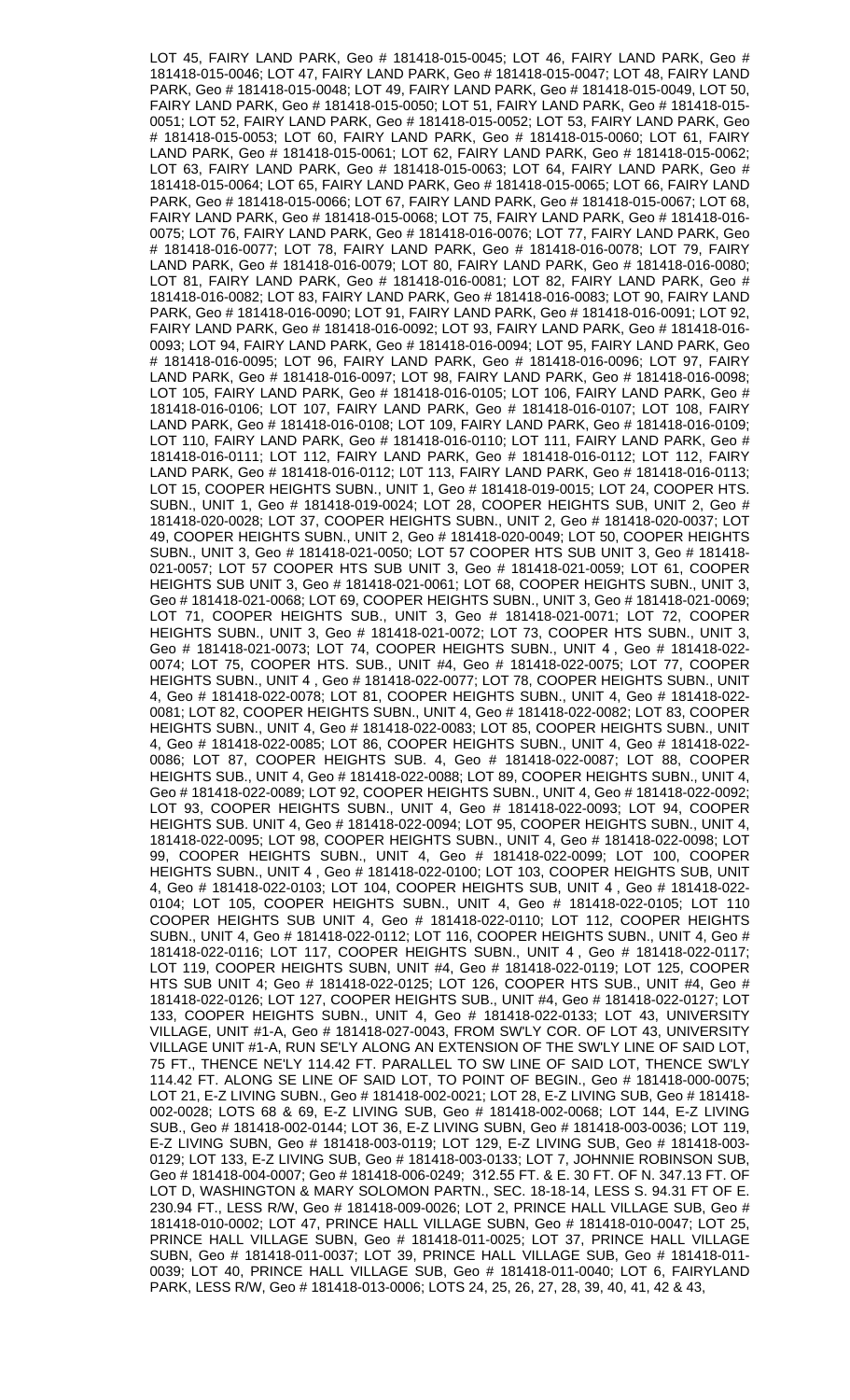LOT 45, FAIRY LAND PARK, Geo # 181418-015-0045; LOT 46, FAIRY LAND PARK, Geo # 181418-015-0046; LOT 47, FAIRY LAND PARK, Geo # 181418-015-0047; LOT 48, FAIRY LAND PARK, Geo # 181418-015-0048; LOT 49, FAIRY LAND PARK, Geo # 181418-015-0049, LOT 50, FAIRY LAND PARK, Geo # 181418-015-0050; LOT 51, FAIRY LAND PARK, Geo # 181418-015- 0051; LOT 52, FAIRY LAND PARK, Geo # 181418-015-0052; LOT 53, FAIRY LAND PARK, Geo # 181418-015-0053; LOT 60, FAIRY LAND PARK, Geo # 181418-015-0060; LOT 61, FAIRY LAND PARK, Geo # 181418-015-0061; LOT 62, FAIRY LAND PARK, Geo # 181418-015-0062; LOT 63, FAIRY LAND PARK, Geo # 181418-015-0063; LOT 64, FAIRY LAND PARK, Geo # 181418-015-0064; LOT 65, FAIRY LAND PARK, Geo # 181418-015-0065; LOT 66, FAIRY LAND PARK, Geo # 181418-015-0066; LOT 67, FAIRY LAND PARK, Geo # 181418-015-0067; LOT 68, FAIRY LAND PARK, Geo # 181418-015-0068; LOT 75, FAIRY LAND PARK, Geo # 181418-016- 0075; LOT 76, FAIRY LAND PARK, Geo # 181418-016-0076; LOT 77, FAIRY LAND PARK, Geo # 181418-016-0077; LOT 78, FAIRY LAND PARK, Geo # 181418-016-0078; LOT 79, FAIRY LAND PARK, Geo # 181418-016-0079; LOT 80, FAIRY LAND PARK, Geo # 181418-016-0080; LOT 81, FAIRY LAND PARK, Geo # 181418-016-0081; LOT 82, FAIRY LAND PARK, Geo # 181418-016-0082; LOT 83, FAIRY LAND PARK, Geo # 181418-016-0083; LOT 90, FAIRY LAND PARK, Geo # 181418-016-0090; LOT 91, FAIRY LAND PARK, Geo # 181418-016-0091; LOT 92, FAIRY LAND PARK, Geo # 181418-016-0092; LOT 93, FAIRY LAND PARK, Geo # 181418-016- 0093; LOT 94, FAIRY LAND PARK, Geo # 181418-016-0094; LOT 95, FAIRY LAND PARK, Geo # 181418-016-0095; LOT 96, FAIRY LAND PARK, Geo # 181418-016-0096; LOT 97, FAIRY LAND PARK, Geo # 181418-016-0097; LOT 98, FAIRY LAND PARK, Geo # 181418-016-0098; LOT 105, FAIRY LAND PARK, Geo # 181418-016-0105; LOT 106, FAIRY LAND PARK, Geo # 181418-016-0106; LOT 107, FAIRY LAND PARK, Geo # 181418-016-0107; LOT 108, FAIRY LAND PARK, Geo # 181418-016-0108; LOT 109, FAIRY LAND PARK, Geo # 181418-016-0109; LOT 110, FAIRY LAND PARK, Geo # 181418-016-0110; LOT 111, FAIRY LAND PARK, Geo # 181418-016-0111; LOT 112, FAIRY LAND PARK, Geo # 181418-016-0112; LOT 112, FAIRY LAND PARK, Geo # 181418-016-0112; L0T 113, FAIRY LAND PARK, Geo # 181418-016-0113; LOT 15, COOPER HEIGHTS SUBN., UNIT 1, Geo # 181418-019-0015; LOT 24, COOPER HTS. SUBN., UNIT 1, Geo # 181418-019-0024; LOT 28, COOPER HEIGHTS SUB, UNIT 2, Geo # 181418-020-0028; LOT 37, COOPER HEIGHTS SUBN., UNIT 2, Geo # 181418-020-0037; LOT 49, COOPER HEIGHTS SUBN., UNIT 2, Geo # 181418-020-0049; LOT 50, COOPER HEIGHTS SUBN., UNIT 3, Geo # 181418-021-0050; LOT 57 COOPER HTS SUB UNIT 3, Geo # 181418- 021-0057; LOT 57 COOPER HTS SUB UNIT 3, Geo # 181418-021-0059; LOT 61, COOPER HEIGHTS SUB UNIT 3, Geo # 181418-021-0061; LOT 68, COOPER HEIGHTS SUBN., UNIT 3, Geo # 181418-021-0068; LOT 69, COOPER HEIGHTS SUBN., UNIT 3, Geo # 181418-021-0069; LOT 71, COOPER HEIGHTS SUB., UNIT 3, Geo # 181418-021-0071; LOT 72, COOPER HEIGHTS SUBN., UNIT 3, Geo # 181418-021-0072; LOT 73, COOPER HTS SUBN., UNIT 3, Geo # 181418-021-0073; LOT 74, COOPER HEIGHTS SUBN., UNIT 4 , Geo # 181418-022- 0074; LOT 75, COOPER HTS. SUB., UNIT #4, Geo # 181418-022-0075; LOT 77, COOPER HEIGHTS SUBN., UNIT 4 , Geo # 181418-022-0077; LOT 78, COOPER HEIGHTS SUBN., UNIT 4, Geo # 181418-022-0078; LOT 81, COOPER HEIGHTS SUBN., UNIT 4, Geo # 181418-022- 0081; LOT 82, COOPER HEIGHTS SUBN., UNIT 4, Geo # 181418-022-0082; LOT 83, COOPER HEIGHTS SUBN., UNIT 4, Geo # 181418-022-0083; LOT 85, COOPER HEIGHTS SUBN., UNIT 4, Geo # 181418-022-0085; LOT 86, COOPER HEIGHTS SUBN., UNIT 4, Geo # 181418-022- 0086; LOT 87, COOPER HEIGHTS SUB. 4, Geo # 181418-022-0087; LOT 88, COOPER HEIGHTS SUB., UNIT 4, Geo # 181418-022-0088; LOT 89, COOPER HEIGHTS SUBN., UNIT 4, Geo # 181418-022-0089; LOT 92, COOPER HEIGHTS SUBN., UNIT 4, Geo # 181418-022-0092; LOT 93, COOPER HEIGHTS SUBN., UNIT 4, Geo # 181418-022-0093; LOT 94, COOPER HEIGHTS SUB. UNIT 4, Geo # 181418-022-0094; LOT 95, COOPER HEIGHTS SUBN., UNIT 4, 181418-022-0095; LOT 98, COOPER HEIGHTS SUBN., UNIT 4, Geo # 181418-022-0098; LOT 99, COOPER HEIGHTS SUBN., UNIT 4, Geo # 181418-022-0099; LOT 100, COOPER HEIGHTS SUBN., UNIT 4 , Geo # 181418-022-0100; LOT 103, COOPER HEIGHTS SUB, UNIT 4, Geo # 181418-022-0103; LOT 104, COOPER HEIGHTS SUB, UNIT 4 , Geo # 181418-022- 0104; LOT 105, COOPER HEIGHTS SUBN., UNIT 4, Geo # 181418-022-0105; LOT 110 COOPER HEIGHTS SUB UNIT 4, Geo # 181418-022-0110; LOT 112, COOPER HEIGHTS SUBN., UNIT 4, Geo # 181418-022-0112; LOT 116, COOPER HEIGHTS SUBN., UNIT 4, Geo # 181418-022-0116; LOT 117, COOPER HEIGHTS SUBN., UNIT 4 , Geo # 181418-022-0117; LOT 119, COOPER HEIGHTS SUBN, UNIT #4, Geo # 181418-022-0119; LOT 125, COOPER HTS SUB UNIT 4; Geo # 181418-022-0125; LOT 126, COOPER HTS SUB., UNIT #4, Geo # 181418-022-0126; LOT 127, COOPER HEIGHTS SUB., UNIT #4, Geo # 181418-022-0127; LOT 133, COOPER HEIGHTS SUBN., UNIT 4, Geo # 181418-022-0133; LOT 43, UNIVERSITY VILLAGE, UNIT #1-A, Geo # 181418-027-0043, FROM SW'LY COR. OF LOT 43, UNIVERSITY VILLAGE UNIT #1-A, RUN SE'LY ALONG AN EXTENSION OF THE SW'LY LINE OF SAID LOT, 75 FT., THENCE NE'LY 114.42 FT. PARALLEL TO SW LINE OF SAID LOT, THENCE SW'LY 114.42 FT. ALONG SE LINE OF SAID LOT, TO POINT OF BEGIN., Geo # 181418-000-0075; LOT 21, E-Z LIVING SUBN., Geo # 181418-002-0021; LOT 28, E-Z LIVING SUB, Geo # 181418- 002-0028; LOTS 68 & 69, E-Z LIVING SUB, Geo # 181418-002-0068; LOT 144, E-Z LIVING SUB., Geo # 181418-002-0144; LOT 36, E-Z LIVING SUBN, Geo # 181418-003-0036; LOT 119, E-Z LIVING SUBN, Geo # 181418-003-0119; LOT 129, E-Z LIVING SUB, Geo # 181418-003- 0129; LOT 133, E-Z LIVING SUB, Geo # 181418-003-0133; LOT 7, JOHNNIE ROBINSON SUB, Geo # 181418-004-0007; Geo # 181418-006-0249; 312.55 FT. & E. 30 FT. OF N. 347.13 FT. OF LOT D, WASHINGTON & MARY SOLOMON PARTN., SEC. 18-18-14, LESS S. 94.31 FT OF E. 230.94 FT., LESS R/W, Geo # 181418-009-0026; LOT 2, PRINCE HALL VILLAGE SUB, Geo # 181418-010-0002; LOT 47, PRINCE HALL VILLAGE SUBN, Geo # 181418-010-0047; LOT 25, PRINCE HALL VILLAGE SUBN, Geo # 181418-011-0025; LOT 37, PRINCE HALL VILLAGE SUBN, Geo # 181418-011-0037; LOT 39, PRINCE HALL VILLAGE SUB, Geo # 181418-011- 0039; LOT 40, PRINCE HALL VILLAGE SUB, Geo # 181418-011-0040; LOT 6, FAIRYLAND PARK, LESS R/W, Geo # 181418-013-0006; LOTS 24, 25, 26, 27, 28, 39, 40, 41, 42 & 43,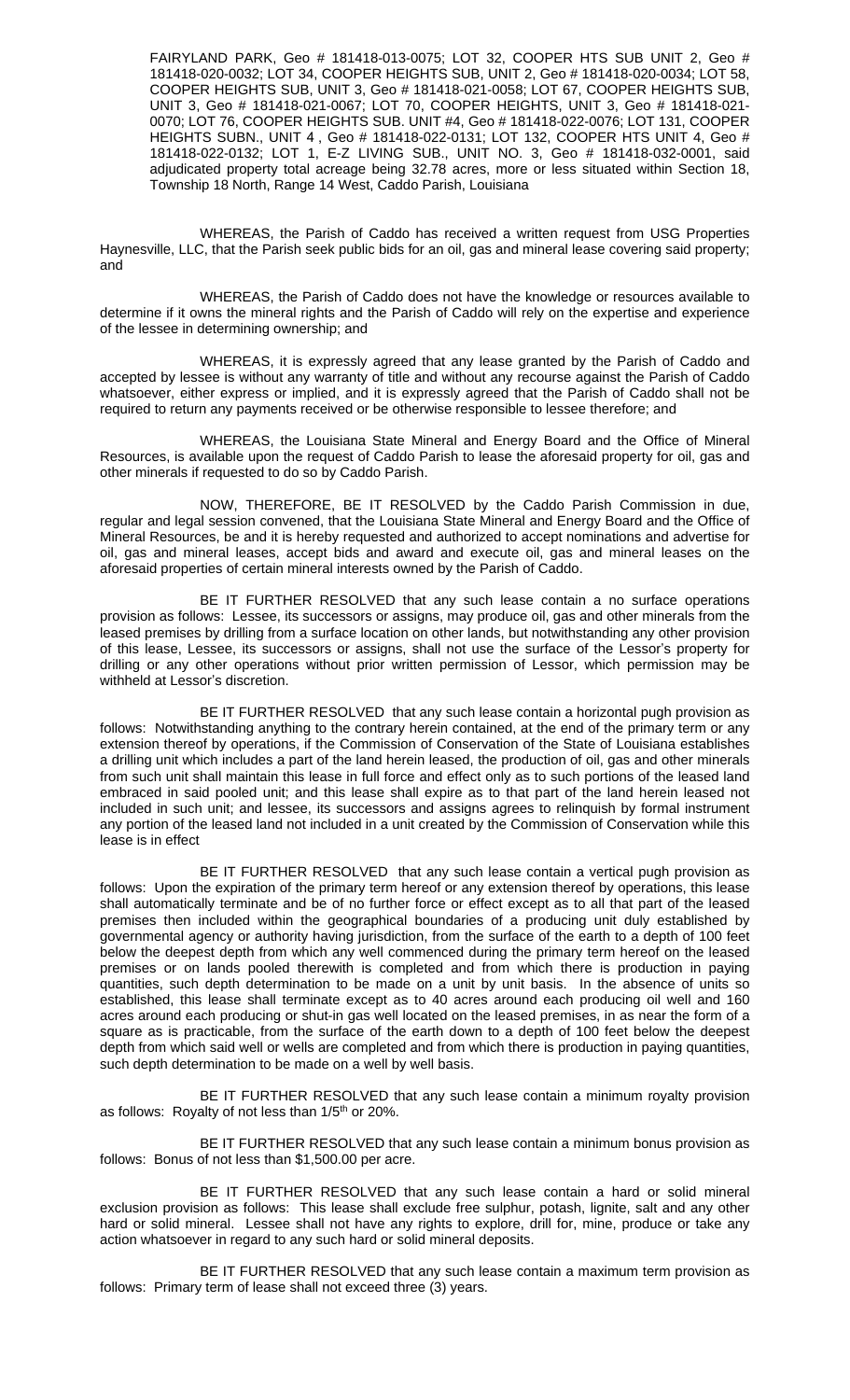FAIRYLAND PARK, Geo # 181418-013-0075; LOT 32, COOPER HTS SUB UNIT 2, Geo # 181418-020-0032; LOT 34, COOPER HEIGHTS SUB, UNIT 2, Geo # 181418-020-0034; LOT 58, COOPER HEIGHTS SUB, UNIT 3, Geo # 181418-021-0058; LOT 67, COOPER HEIGHTS SUB, UNIT 3, Geo # 181418-021-0067; LOT 70, COOPER HEIGHTS, UNIT 3, Geo # 181418-021- 0070; LOT 76, COOPER HEIGHTS SUB. UNIT #4, Geo # 181418-022-0076; LOT 131, COOPER HEIGHTS SUBN., UNIT 4 , Geo # 181418-022-0131; LOT 132, COOPER HTS UNIT 4, Geo # 181418-022-0132; LOT 1, E-Z LIVING SUB., UNIT NO. 3, Geo # 181418-032-0001, said adjudicated property total acreage being 32.78 acres, more or less situated within Section 18, Township 18 North, Range 14 West, Caddo Parish, Louisiana

WHEREAS, the Parish of Caddo has received a written request from USG Properties Haynesville, LLC, that the Parish seek public bids for an oil, gas and mineral lease covering said property; and

WHEREAS, the Parish of Caddo does not have the knowledge or resources available to determine if it owns the mineral rights and the Parish of Caddo will rely on the expertise and experience of the lessee in determining ownership; and

WHEREAS, it is expressly agreed that any lease granted by the Parish of Caddo and accepted by lessee is without any warranty of title and without any recourse against the Parish of Caddo whatsoever, either express or implied, and it is expressly agreed that the Parish of Caddo shall not be required to return any payments received or be otherwise responsible to lessee therefore; and

WHEREAS, the Louisiana State Mineral and Energy Board and the Office of Mineral Resources, is available upon the request of Caddo Parish to lease the aforesaid property for oil, gas and other minerals if requested to do so by Caddo Parish.

NOW, THEREFORE, BE IT RESOLVED by the Caddo Parish Commission in due, regular and legal session convened, that the Louisiana State Mineral and Energy Board and the Office of Mineral Resources, be and it is hereby requested and authorized to accept nominations and advertise for oil, gas and mineral leases, accept bids and award and execute oil, gas and mineral leases on the aforesaid properties of certain mineral interests owned by the Parish of Caddo.

BE IT FURTHER RESOLVED that any such lease contain a no surface operations provision as follows: Lessee, its successors or assigns, may produce oil, gas and other minerals from the leased premises by drilling from a surface location on other lands, but notwithstanding any other provision of this lease, Lessee, its successors or assigns, shall not use the surface of the Lessor's property for drilling or any other operations without prior written permission of Lessor, which permission may be withheld at Lessor's discretion.

BE IT FURTHER RESOLVED that any such lease contain a horizontal pugh provision as follows: Notwithstanding anything to the contrary herein contained, at the end of the primary term or any extension thereof by operations, if the Commission of Conservation of the State of Louisiana establishes a drilling unit which includes a part of the land herein leased, the production of oil, gas and other minerals from such unit shall maintain this lease in full force and effect only as to such portions of the leased land embraced in said pooled unit; and this lease shall expire as to that part of the land herein leased not included in such unit; and lessee, its successors and assigns agrees to relinquish by formal instrument any portion of the leased land not included in a unit created by the Commission of Conservation while this lease is in effect

BE IT FURTHER RESOLVED that any such lease contain a vertical pugh provision as follows: Upon the expiration of the primary term hereof or any extension thereof by operations, this lease shall automatically terminate and be of no further force or effect except as to all that part of the leased premises then included within the geographical boundaries of a producing unit duly established by governmental agency or authority having jurisdiction, from the surface of the earth to a depth of 100 feet below the deepest depth from which any well commenced during the primary term hereof on the leased premises or on lands pooled therewith is completed and from which there is production in paying quantities, such depth determination to be made on a unit by unit basis. In the absence of units so established, this lease shall terminate except as to 40 acres around each producing oil well and 160 acres around each producing or shut-in gas well located on the leased premises, in as near the form of a square as is practicable, from the surface of the earth down to a depth of 100 feet below the deepest depth from which said well or wells are completed and from which there is production in paying quantities, such depth determination to be made on a well by well basis.

BE IT FURTHER RESOLVED that any such lease contain a minimum royalty provision as follows: Royalty of not less than 1/5<sup>th</sup> or 20%.

BE IT FURTHER RESOLVED that any such lease contain a minimum bonus provision as follows: Bonus of not less than \$1,500.00 per acre.

BE IT FURTHER RESOLVED that any such lease contain a hard or solid mineral exclusion provision as follows: This lease shall exclude free sulphur, potash, lignite, salt and any other hard or solid mineral. Lessee shall not have any rights to explore, drill for, mine, produce or take any action whatsoever in regard to any such hard or solid mineral deposits.

BE IT FURTHER RESOLVED that any such lease contain a maximum term provision as follows: Primary term of lease shall not exceed three (3) years.